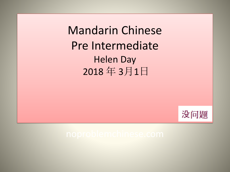Mandarin Chinese Pre Intermediate Helen Day 2018 年 3月1日

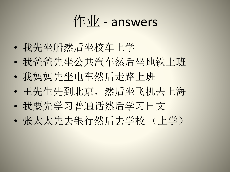作业 - answers

- 我先坐船然后坐校车上学
- 我爸爸先坐公共汽车然后坐地铁上班
- 我妈妈先坐电车然后走路上班
- 王先生先到北京,然后坐飞机去上海
- 我要先学习普通话然后学习日文
- 张太太先去银行然后去学校 (上学)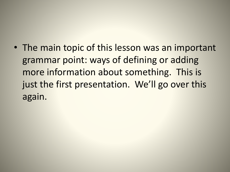• The main topic of this lesson was an important grammar point: ways of defining or adding more information about something. This is just the first presentation. We'll go over this again.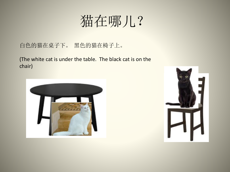## 猫在哪儿?

白色的猫在桌子下。 黑色的猫在椅子上。

(The white cat is under the table. The black cat is on the chair)



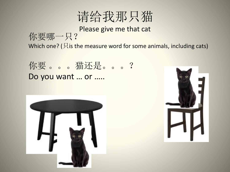

### Please give me that cat 你要哪一只? Which one? ( $\boxtimes$  is the measure word for some animals, including cats)

你要 。。。猫还是 。。。? Do you want … or …..



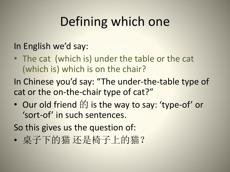## Defining which one

### In English we'd say:

• The cat (which is) under the table or the cat (which is) which is on the chair?

In Chinese you'd say: "The under-the-table type of cat or the on-the-chair type of cat?"

• Our old friend 的 is the way to say: 'type-of' or 'sort-of' in such sentences.

So this gives us the question of:

• 桌子下的猫 还是椅子上的猫?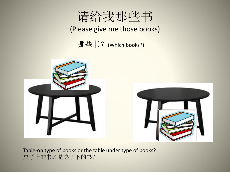

### (Please give me those books)

哪些书?(Which books?)





Table-on type of books or the table under type of books? 桌子上的书还是桌子下的书?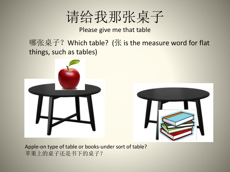

Please give me that table

哪张桌子? Which table? (张 is the measure word for flat things, such as tables)





Apple-on type of table or books-under sort of table? 苹果上的桌子还是书下的桌子?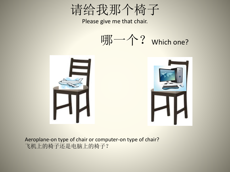请给我那个椅子

Please give me that chair.

哪一个? which one?



Aeroplane-on type of chair or computer-on type of chair? 飞机上的椅子还是电脑上的椅子?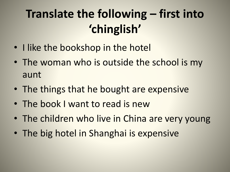## **Translate the following – first into 'chinglish'**

- I like the bookshop in the hotel
- The woman who is outside the school is my aunt
- The things that he bought are expensive
- The book I want to read is new
- The children who live in China are very young
- The big hotel in Shanghai is expensive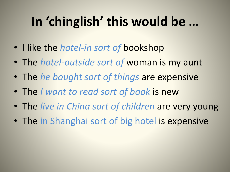# **In 'chinglish' this would be …**

- I like the *hotel-in sort of* bookshop
- The *hotel-outside sort of* woman is my aunt
- The *he bought sort of things* are expensive
- The *I want to read sort of book* is new
- The *live in China sort of children* are very young
- The in Shanghai sort of big hotel is expensive